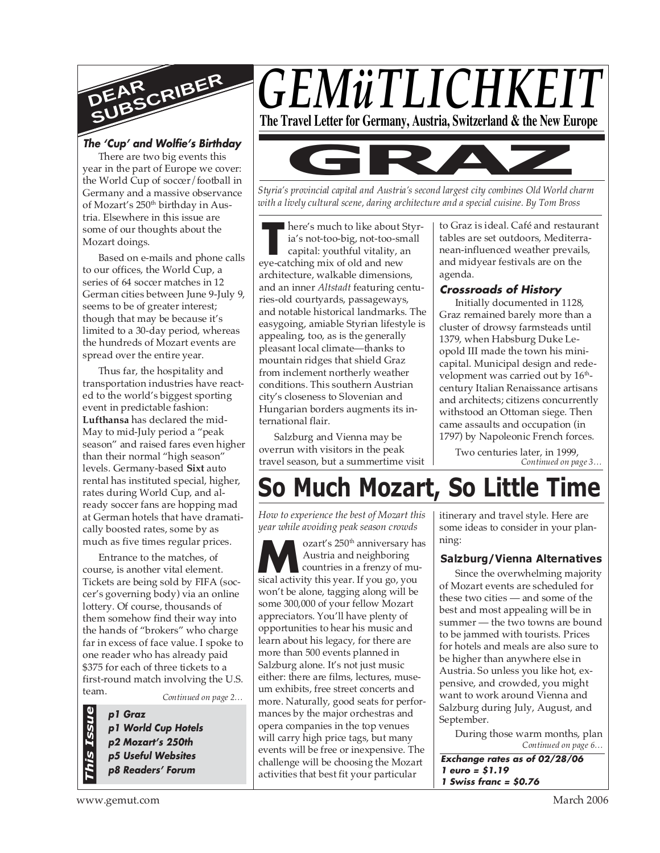

### **The 'Cup' and Wolfie's Birthday**

There are two big events this year in the part of Europe we cover: the World Cup of soccer/football in Germany and a massive observance of Mozart's 250<sup>th</sup> birthday in Austria. Elsewhere in this issue are some of our thoughts about the Mozart doings.

Based on e-mails and phone calls to our offices, the World Cup, a series of 64 soccer matches in 12 German cities between June 9-July 9, seems to be of greater interest; though that may be because it's limited to a 30-day period, whereas the hundreds of Mozart events are spread over the entire year.

Thus far, the hospitality and transportation industries have reacted to the world's biggest sporting event in predictable fashion: **Lufthansa** has declared the mid-May to mid-July period a "peak season" and raised fares even higher than their normal "high season" levels. Germany-based **Sixt** auto rental has instituted special, higher, rates during World Cup, and already soccer fans are hopping mad at German hotels that have dramatically boosted rates, some by as much as five times regular prices.

Entrance to the matches, of course, is another vital element. Tickets are being sold by FIFA (soccer's governing body) via an online lottery. Of course, thousands of them somehow find their way into the hands of "brokers" who charge far in excess of face value. I spoke to one reader who has already paid \$375 for each of three tickets to a first-round match involving the U.S. team.

*Continued on page 2…*

**p1 Graz p1 World Cup Hotels p2 Mozart's 250th p5 Useful Websites p8 Readers' Forum**



*This Issue*



*Styria's provincial capital and Austria's second largest city combines Old World charm with a lively cultural scene, daring architecture and a special cuisine. By Tom Bross*

**THE TENSUARE SERVING THE SERVING SERVIS CALCE AN ABOVE CATE CALCE AND FOR A SUPPORT OF A SUPPORT OF OUR AND THE SUPPORT OF OUR SERVIS OF OUR SERVIS OF OUR SERVIS OF OUR SERVIS OF OUR SERVIS OF OUR SERVIS OF OUR SERVIS OF** *.* here's much to like about Styria's not-too-big, not-too-small capital: youthful vitality, an architecture, walkable dimensions, and an inner *Altstadt* featuring centuries-old courtyards, passageways, and notable historical landmarks. The easygoing, amiable Styrian lifestyle is appealing, too, as is the generally pleasant local climate—thanks to mountain ridges that shield Graz from inclement northerly weather conditions. This southern Austrian city's closeness to Slovenian and Hungarian borders augments its international flair.

Salzburg and Vienna may be overrun with visitors in the peak travel season, but a summertime visit to Graz is ideal. Café and restaurant tables are set outdoors, Mediterranean-influenced weather prevails, and midyear festivals are on the agenda.

### **Crossroads of History**

Initially documented in 1128, Graz remained barely more than a cluster of drowsy farmsteads until 1379, when Habsburg Duke Leopold III made the town his minicapital. Municipal design and redevelopment was carried out by  $16<sup>th</sup>$ century Italian Renaissance artisans and architects; citizens concurrently withstood an Ottoman siege. Then came assaults and occupation (in 1797) by Napoleonic French forces.

*Continued on page 3…* Two centuries later, in 1999,

# **So Much Mozart, So Little Time**

*How to experience the best of Mozart this year while avoiding peak season crowds*

**M**sical activity this year. If you go, you sical activity this year. If you go, you ozart's 250<sup>th</sup> anniversary has Austria and neighboring countries in a frenzy of muwon't be alone, tagging along will be some 300,000 of your fellow Mozart appreciators. You'll have plenty of opportunities to hear his music and learn about his legacy, for there are more than 500 events planned in Salzburg alone. It's not just music either: there are films, lectures, museum exhibits, free street concerts and more. Naturally, good seats for performances by the major orchestras and opera companies in the top venues will carry high price tags, but many events will be free or inexpensive. The challenge will be choosing the Mozart activities that best fit your particular

itinerary and travel style. Here are some ideas to consider in your planning:

### **Salzburg/Vienna Alternatives**

Since the overwhelming majority of Mozart events are scheduled for these two cities — and some of the best and most appealing will be in summer — the two towns are bound to be jammed with tourists. Prices for hotels and meals are also sure to be higher than anywhere else in Austria. So unless you like hot, expensive, and crowded, you might want to work around Vienna and Salzburg during July, August, and September.

*Continued on page 6…* During those warm months, plan

**Exchange rates as of 02/28/06 1 euro = \$1.19 1 Swiss franc = \$0.76**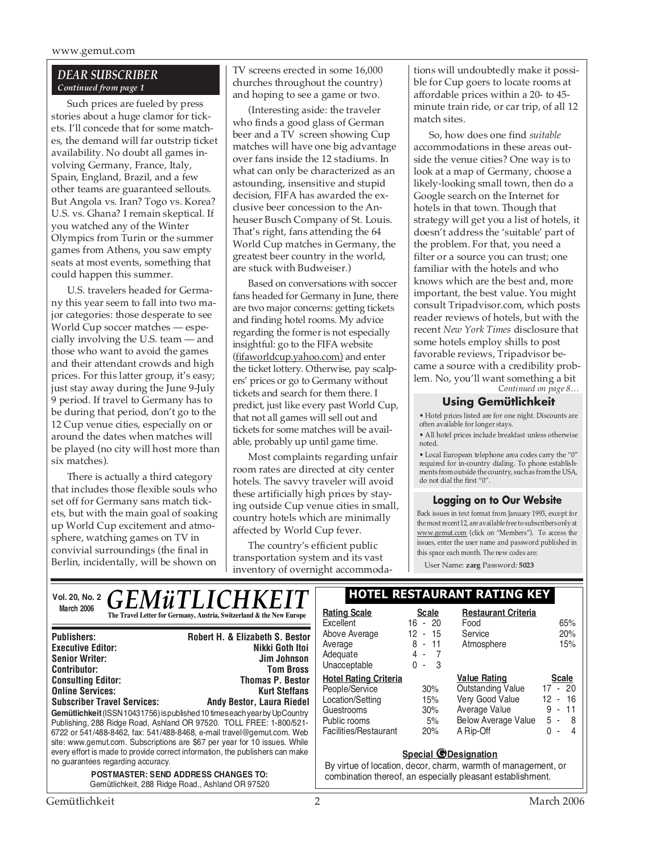### *DEAR SUBSCRIBER Continued from page 1*

Such prices are fueled by press stories about a huge clamor for tickets. I'll concede that for some matches, the demand will far outstrip ticket availability. No doubt all games involving Germany, France, Italy, Spain, England, Brazil, and a few other teams are guaranteed sellouts. But Angola vs. Iran? Togo vs. Korea? U.S. vs. Ghana? I remain skeptical. If you watched any of the Winter Olympics from Turin or the summer games from Athens, you saw empty seats at most events, something that could happen this summer.

U.S. travelers headed for Germany this year seem to fall into two major categories: those desperate to see World Cup soccer matches — especially involving the U.S. team — and those who want to avoid the games and their attendant crowds and high prices. For this latter group, it's easy; just stay away during the June 9-July 9 period. If travel to Germany has to be during that period, don't go to the 12 Cup venue cities, especially on or around the dates when matches will be played (no city will host more than six matches).

There is actually a third category that includes those flexible souls who set off for Germany sans match tickets, but with the main goal of soaking up World Cup excitement and atmosphere, watching games on TV in convivial surroundings (the final in Berlin, incidentally, will be shown on

TV screens erected in some 16,000 churches throughout the country) and hoping to see a game or two.

(Interesting aside: the traveler who finds a good glass of German beer and a TV screen showing Cup matches will have one big advantage over fans inside the 12 stadiums. In what can only be characterized as an astounding, insensitive and stupid decision, FIFA has awarded the exclusive beer concession to the Anheuser Busch Company of St. Louis. That's right, fans attending the 64 World Cup matches in Germany, the greatest beer country in the world, are stuck with Budweiser.)

Based on conversations with soccer fans headed for Germany in June, there are two major concerns: getting tickets and finding hotel rooms. My advice regarding the former is not especially insightful: go to the FIFA website (fifaworldcup.yahoo.com) and enter the ticket lottery. Otherwise, pay scalpers' prices or go to Germany without tickets and search for them there. I predict, just like every past World Cup, that not all games will sell out and tickets for some matches will be available, probably up until game time.

Most complaints regarding unfair room rates are directed at city center hotels. The savvy traveler will avoid these artificially high prices by staying outside Cup venue cities in small, country hotels which are minimally affected by World Cup fever.

The country's efficient public transportation system and its vast inventory of overnight accommodations will undoubtedly make it possible for Cup goers to locate rooms at affordable prices within a 20- to 45 minute train ride, or car trip, of all 12 match sites.

*Continued on page 8…* So, how does one find *suitable* accommodations in these areas outside the venue cities? One way is to look at a map of Germany, choose a likely-looking small town, then do a Google search on the Internet for hotels in that town. Though that strategy will get you a list of hotels, it doesn't address the 'suitable' part of the problem. For that, you need a filter or a source you can trust; one familiar with the hotels and who knows which are the best and, more important, the best value. You might consult Tripadvisor.com, which posts reader reviews of hotels, but with the recent *New York Times* disclosure that some hotels employ shills to post favorable reviews, Tripadvisor became a source with a credibility problem. No, you'll want something a bit

### **Using Gemütlichkeit**

• Hotel prices listed are for one night. Discounts are often available for longer stays.

• All hotel prices include breakfast unless otherwise noted.

• Local European telephone area codes carry the "0" required for in-country dialing. To phone establishments from outside the country, such as from the USA, do not dial the first "0".

### **Logging on to Our Website**

Back issues in text format from January 1993, except for the most recent 12, are available free to subscribers only at www.gemut.com (click on "Members"). To access the issues, enter the user name and password published in this space each month. The new codes are:

User Name: **zarg** Password: **5023**

| VOI. 20, No. 2 $\bm{GEM\ddot{u}TLICHKEIT}$ .<br>The Travel Letter for Germany, Austria, Switzerland & the New Europe | <b>HOTEL RESTAU</b>              |                    |
|----------------------------------------------------------------------------------------------------------------------|----------------------------------|--------------------|
|                                                                                                                      | <b>Rating Scale</b><br>Excellent | Scale<br>$16 - 20$ |
|                                                                                                                      |                                  |                    |

| <b>Publishers:</b>                                                                                                                                                                                                                                                                                                                                                                                                           | <b>Robert H. &amp; Elizabeth S. Bestor</b> |  |  |  |
|------------------------------------------------------------------------------------------------------------------------------------------------------------------------------------------------------------------------------------------------------------------------------------------------------------------------------------------------------------------------------------------------------------------------------|--------------------------------------------|--|--|--|
| <b>Executive Editor:</b>                                                                                                                                                                                                                                                                                                                                                                                                     | Nikki Goth Itoi                            |  |  |  |
| <b>Senior Writer:</b>                                                                                                                                                                                                                                                                                                                                                                                                        | <b>Jim Johnson</b>                         |  |  |  |
| <b>Contributor:</b>                                                                                                                                                                                                                                                                                                                                                                                                          | <b>Tom Bross</b>                           |  |  |  |
| <b>Consulting Editor:</b>                                                                                                                                                                                                                                                                                                                                                                                                    | <b>Thomas P. Bestor</b>                    |  |  |  |
| <b>Online Services:</b>                                                                                                                                                                                                                                                                                                                                                                                                      | <b>Kurt Steffans</b>                       |  |  |  |
| <b>Subscriber Travel Services:</b>                                                                                                                                                                                                                                                                                                                                                                                           | <b>Andy Bestor, Laura Riedel</b>           |  |  |  |
| Gemütlichkeit (ISSN 10431756) is published 10 times each year by UpCountry<br>Publishing, 288 Ridge Road, Ashland OR 97520. TOLL FREE: 1-800/521-<br>6722 or 541/488-8462, fax: 541/488-8468, e-mail travel@gemut.com. Web<br>site: www.gemut.com. Subscriptions are \$67 per year for 10 issues. While<br>every effort is made to provide correct information, the publishers can make<br>no guarantees regarding accuracy. |                                            |  |  |  |
| <b>POSTMASTER: SEND ADDRESS CHANGES TO:</b>                                                                                                                                                                                                                                                                                                                                                                                  |                                            |  |  |  |

Gemütlichkeit, 288 Ridge Road., Ashland OR 97520

### **Vol. 20, No. 2 HOTEL RESTAURANT RATING KEY**

| <b>Rating Scale</b><br>Excellent<br>Above Average<br>Average<br>Adequate<br>Unacceptable                                  | <b>Scale</b><br>$16 - 20$<br>12 - 15<br>$-11$<br>8<br>4<br>$\overline{\phantom{a}}$<br>-7<br>3<br>0<br>$\tilde{\phantom{a}}$ | <b>Restaurant Criteria</b><br>Food<br>Service<br>Atmosphere                                                                    | 65%<br>20%<br>15%                                                            |
|---------------------------------------------------------------------------------------------------------------------------|------------------------------------------------------------------------------------------------------------------------------|--------------------------------------------------------------------------------------------------------------------------------|------------------------------------------------------------------------------|
| <b>Hotel Rating Criteria</b><br>People/Service<br>Location/Setting<br>Guestrooms<br>Public rooms<br>Facilities/Restaurant | 30%<br>15%<br>30%<br>5%<br>20%                                                                                               | <b>Value Rating</b><br><b>Outstanding Value</b><br>Very Good Value<br>Average Value<br><b>Below Average Value</b><br>A Rip-Off | <b>Scale</b><br>$17 - 20$<br>12 - 16<br>- 11<br>9<br>5 -<br>8<br>N<br>4<br>٠ |

### **Special @Designation**

By virtue of location, decor, charm, warmth of management, or combination thereof, an especially pleasant establishment.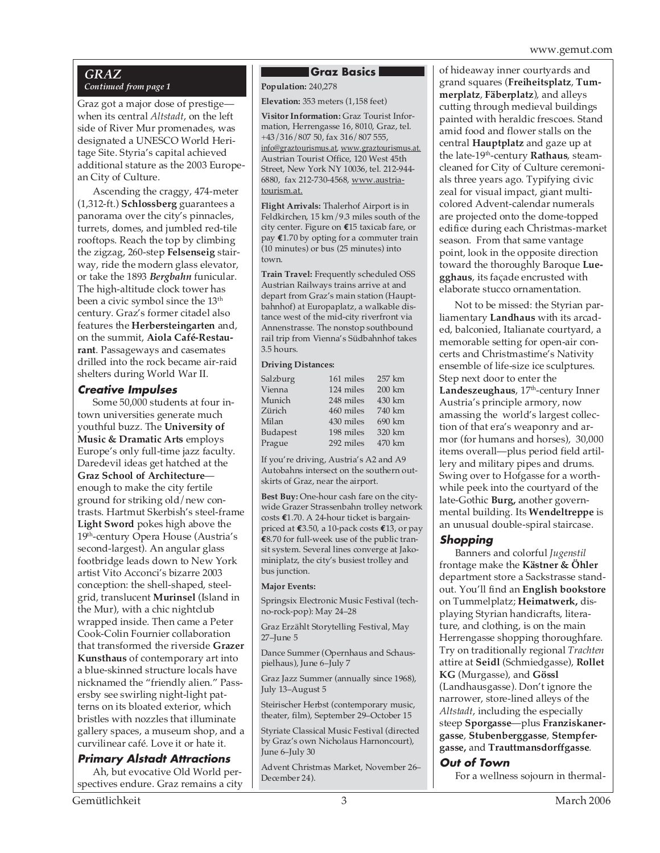### *GRAZ Continued from page 1*

Graz got a major dose of prestige when its central *Altstadt*, on the left side of River Mur promenades, was designated a UNESCO World Heritage Site. Styria's capital achieved additional stature as the 2003 European City of Culture.

Ascending the craggy, 474-meter (1,312-ft.) **Schlossberg** guarantees a panorama over the city's pinnacles, turrets, domes, and jumbled red-tile rooftops. Reach the top by climbing the zigzag, 260-step **Felsenseig** stairway, ride the modern glass elevator, or take the 1893 *Bergbahn* funicular. The high-altitude clock tower has been a civic symbol since the 13<sup>th</sup> century. Graz's former citadel also features the **Herbersteingarten** and, on the summit, **Aiola Café-Restaurant**. Passageways and casemates drilled into the rock became air-raid shelters during World War II.

### **Creative Impulses**

Some 50,000 students at four intown universities generate much youthful buzz. The **University of Music & Dramatic Arts** employs Europe's only full-time jazz faculty. Daredevil ideas get hatched at the **Graz School of Architecture** enough to make the city fertile ground for striking old/new contrasts. Hartmut Skerbish's steel-frame **Light Sword** pokes high above the 19<sup>th</sup>-century Opera House (Austria's second-largest). An angular glass footbridge leads down to New York artist Vito Acconci's bizarre 2003 conception: the shell-shaped, steelgrid, translucent **Murinsel** (Island in the Mur), with a chic nightclub wrapped inside. Then came a Peter Cook-Colin Fournier collaboration that transformed the riverside **Grazer Kunsthaus** of contemporary art into a blue-skinned structure locals have nicknamed the "friendly alien." Passersby see swirling night-light patterns on its bloated exterior, which bristles with nozzles that illuminate gallery spaces, a museum shop, and a curvilinear café. Love it or hate it.

### **Primary Alstadt Attractions**

Ah, but evocative Old World perspectives endure. Graz remains a city

### **Graz Basics**

**Population: 240,278** 

**Elevation:** 353 meters (1,158 feet)

**Visitor Information:** Graz Tourist Information, Herrengasse 16, 8010, Graz, tel. +43/316/807 50, fax 316/807 555, info@graztourismus.at, www.graztourismus.at. Austrian Tourist Office, 120 West 45th Street, New York NY 10036, tel. 212-944- 6880, fax 212-730-4568, www.austriatourism.at.

**Flight Arrivals:** Thalerhof Airport is in Feldkirchen, 15 km/9.3 miles south of the city center. Figure on **€**15 taxicab fare, or pay **€**1.70 by opting for a commuter train (10 minutes) or bus (25 minutes) into town.

**Train Travel:** Frequently scheduled OSS Austrian Railways trains arrive at and depart from Graz's main station (Hauptbahnhof) at Europaplatz, a walkable distance west of the mid-city riverfront via Annenstrasse. The nonstop southbound rail trip from Vienna's Südbahnhof takes 3.5 hours.

### **Driving Distances:**

| Salzburg | 161 miles | 257 km |
|----------|-----------|--------|
| Vienna   | 124 miles | 200 km |
| Munich   | 248 miles | 430 km |
| Zürich   | 460 miles | 740 km |
| Milan    | 430 miles | 690 km |
| Budapest | 198 miles | 320 km |
| Prague   | 292 miles | 470 km |

If you're driving, Austria's A2 and A9 Autobahns intersect on the southern outskirts of Graz, near the airport.

**Best Buy:** One-hour cash fare on the citywide Grazer Strassenbahn trolley network costs **€**1.70. A 24-hour ticket is bargainpriced at **€**3.50, a 10-pack costs **€**13, or pay **€**8.70 for full-week use of the public transit system. Several lines converge at Jakominiplatz, the city's busiest trolley and bus junction.

### **Major Events:**

Springsix Electronic Music Festival (techno-rock-pop): May 24–28

Graz Erzählt Storytelling Festival, May 27–June 5

Dance Summer (Opernhaus and Schauspielhaus), June 6–July 7

Graz Jazz Summer (annually since 1968), July 13–August 5

Steirischer Herbst (contemporary music, theater, film), September 29–October 15

Styriate Classical Music Festival (directed by Graz's own Nicholaus Harnoncourt), June 6–July 30

Advent Christmas Market, November 26– December 24).

of hideaway inner courtyards and grand squares (**Freiheitsplatz**, **Tummerplatz**, **Fäberplatz**), and alleys cutting through medieval buildings painted with heraldic frescoes. Stand amid food and flower stalls on the central **Hauptplatz** and gaze up at the late-19th-century **Rathaus**, steamcleaned for City of Culture ceremonials three years ago. Typifying civic zeal for visual impact, giant multicolored Advent-calendar numerals are projected onto the dome-topped edifice during each Christmas-market season. From that same vantage point, look in the opposite direction toward the thoroughly Baroque **Luegghaus**, its façade encrusted with elaborate stucco ornamentation.

Not to be missed: the Styrian parliamentary **Landhaus** with its arcaded, balconied, Italianate courtyard, a memorable setting for open-air concerts and Christmastime's Nativity ensemble of life-size ice sculptures. Step next door to enter the Landeszeughaus, 17<sup>th</sup>-century Inner Austria's principle armory, now amassing the world's largest collection of that era's weaponry and armor (for humans and horses), 30,000 items overall—plus period field artillery and military pipes and drums. Swing over to Hofgasse for a worthwhile peek into the courtyard of the late-Gothic **Burg,** another governmental building. Its **Wendeltreppe** is an unusual double-spiral staircase.

### **Shopping**

Banners and colorful *Jugenstil* frontage make the **Kästner & Öhler** department store a Sackstrasse standout. You'll find an **English bookstore** on Tummelplatz; **Heimatwerk,** displaying Styrian handicrafts, literature, and clothing, is on the main Herrengasse shopping thoroughfare. Try on traditionally regional *Trachten* attire at **Seidl** (Schmiedgasse), **Rollet KG** (Murgasse), and **Gössl** (Landhausgasse). Don't ignore the narrower, store-lined alleys of the *Altstadt*, including the especially steep **Sporgasse**—plus **Franziskanergasse**, **Stubenberggasse**, **Stempfergasse,** and **Trauttmansdorffgasse**.

### **Out of Town**

For a wellness sojourn in thermal-

Gemütlichkeit 3 March 2006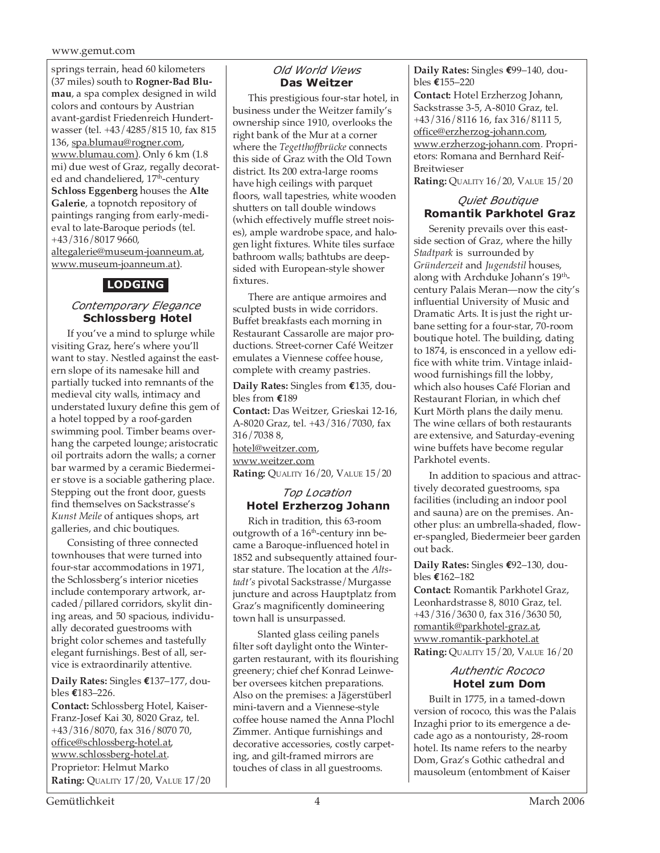springs terrain, head 60 kilometers (37 miles) south to **Rogner-Bad Blumau**, a spa complex designed in wild colors and contours by Austrian avant-gardist Friedenreich Hundertwasser (tel. +43/4285/815 10, fax 815 136, spa.blumau@rogner.com, www.blumau.com). Only 6 km (1.8 mi) due west of Graz, regally decorated and chandeliered, 17<sup>th</sup>-century **Schloss Eggenberg** houses the **Alte Galerie**, a topnotch repository of paintings ranging from early-medieval to late-Baroque periods (tel. +43/316/8017 9660, altegalerie@museum-joanneum.at, www.museum-joanneum.at).

### **LODGING**

### *Contemporary Elegance*  **Schlossberg Hotel**

If you've a mind to splurge while visiting Graz, here's where you'll want to stay. Nestled against the eastern slope of its namesake hill and partially tucked into remnants of the medieval city walls, intimacy and understated luxury define this gem of a hotel topped by a roof-garden swimming pool. Timber beams overhang the carpeted lounge; aristocratic oil portraits adorn the walls; a corner bar warmed by a ceramic Biedermeier stove is a sociable gathering place. Stepping out the front door, guests find themselves on Sackstrasse's *Kunst Meile* of antiques shops, art galleries, and chic boutiques.

Consisting of three connected townhouses that were turned into four-star accommodations in 1971, the Schlossberg's interior niceties include contemporary artwork, arcaded/pillared corridors, skylit dining areas, and 50 spacious, individually decorated guestrooms with bright color schemes and tastefully elegant furnishings. Best of all, service is extraordinarily attentive.

### **Daily Rates:** Singles **€**137–177, doubles **€**183–226.

**Contact:** Schlossberg Hotel, Kaiser-Franz-Josef Kai 30, 8020 Graz, tel. +43/316/8070, fax 316/8070 70, office@schlossberg-hotel.at, www.schlossberg-hotel.at. Proprietor: Helmut Marko **Rating:** QUALITY 17/20, VALUE 17/20

### *Old World Views* **Das Weitzer**

This prestigious four-star hotel, in business under the Weitzer family's ownership since 1910, overlooks the right bank of the Mur at a corner where the *Tegetthoffbrücke* connects this side of Graz with the Old Town district. Its 200 extra-large rooms have high ceilings with parquet floors, wall tapestries, white wooden shutters on tall double windows (which effectively muffle street noises), ample wardrobe space, and halogen light fixtures. White tiles surface bathroom walls; bathtubs are deepsided with European-style shower fixtures.

There are antique armoires and sculpted busts in wide corridors. Buffet breakfasts each morning in Restaurant Cassarolle are major productions. Street-corner Café Weitzer emulates a Viennese coffee house, complete with creamy pastries.

**Daily Rates:** Singles from **€**135, doubles from **€**189

**Contact:** Das Weitzer, Grieskai 12-16, A-8020 Graz, tel. +43/316/7030, fax 316/7038 8, hotel@weitzer.com, www.weitzer.com **Rating:** QUALITY 16/20, VALUE 15/20

### *Top Location*  **Hotel Erzherzog Johann**

Rich in tradition, this 63-room outgrowth of a  $16<sup>th</sup>$ -century inn became a Baroque-influenced hotel in 1852 and subsequently attained fourstar stature. The location at the *Altstadt's* pivotal Sackstrasse/Murgasse juncture and across Hauptplatz from Graz's magnificently domineering town hall is unsurpassed.

 Slanted glass ceiling panels filter soft daylight onto the Wintergarten restaurant, with its flourishing greenery; chief chef Konrad Leinweber oversees kitchen preparations. Also on the premises: a Jägerstüberl mini-tavern and a Viennese-style coffee house named the Anna Plochl Zimmer. Antique furnishings and decorative accessories, costly carpeting, and gilt-framed mirrors are touches of class in all guestrooms.

**Daily Rates:** Singles **€**99–140, doubles **€**155–220 **Contact:** Hotel Erzherzog Johann, Sackstrasse 3-5, A-8010 Graz, tel. +43/316/8116 16, fax 316/8111 5, office@erzherzog-johann.com, www.erzherzog-johann.com. Proprietors: Romana and Bernhard Reif-Breitwieser

**Rating: QUALITY 16/20, VALUE 15/20** 

### *Quiet Boutique*  **Romantik Parkhotel Graz**

Serenity prevails over this eastside section of Graz, where the hilly *Stadtpark* is surrounded by *Gründerzeit* and *Jugendstil* houses, along with Archduke Johann's 19<sup>th</sup>century Palais Meran—now the city's influential University of Music and Dramatic Arts. It is just the right urbane setting for a four-star, 70-room boutique hotel. The building, dating to 1874, is ensconced in a yellow edifice with white trim. Vintage inlaidwood furnishings fill the lobby, which also houses Café Florian and Restaurant Florian, in which chef Kurt Mörth plans the daily menu. The wine cellars of both restaurants are extensive, and Saturday-evening wine buffets have become regular Parkhotel events.

In addition to spacious and attractively decorated guestrooms, spa facilities (including an indoor pool and sauna) are on the premises. Another plus: an umbrella-shaded, flower-spangled, Biedermeier beer garden out back.

**Daily Rates:** Singles **€**92–130, doubles **€**162–182

**Contact:** Romantik Parkhotel Graz, Leonhardstrasse 8, 8010 Graz, tel. +43/316/3630 0, fax 316/3630 50, romantik@parkhotel-graz.at, www.romantik-parkhotel.at **Rating:** QUALITY 15/20, VALUE 16/20

### *Authentic Rococo*  **Hotel zum Dom**

Built in 1775, in a tamed-down version of rococo, this was the Palais Inzaghi prior to its emergence a decade ago as a nontouristy, 28-room hotel. Its name refers to the nearby Dom, Graz's Gothic cathedral and mausoleum (entombment of Kaiser

Gemütlichkeit 4 March 2006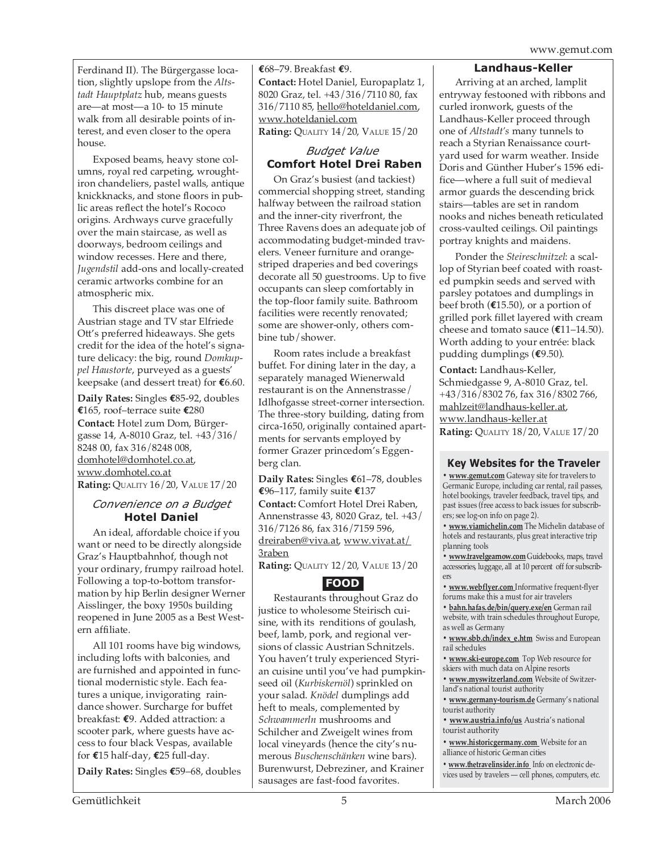Ferdinand II). The Bürgergasse location, slightly upslope from the *Altstadt Hauptplatz* hub, means guests are—at most—a 10- to 15 minute walk from all desirable points of interest, and even closer to the opera house.

Exposed beams, heavy stone columns, royal red carpeting, wroughtiron chandeliers, pastel walls, antique knickknacks, and stone floors in public areas reflect the hotel's Rococo origins. Archways curve gracefully over the main staircase, as well as doorways, bedroom ceilings and window recesses. Here and there, *Jugendstil* add-ons and locally-created ceramic artworks combine for an atmospheric mix.

This discreet place was one of Austrian stage and TV star Elfriede Ott's preferred hideaways. She gets credit for the idea of the hotel's signature delicacy: the big, round *Domkuppel Haustorte*, purveyed as a guests' keepsake (and dessert treat) for **€**6.60.

**Daily Rates:** Singles **€**85-92, doubles **€**165, roof–terrace suite **€**280 **Contact:** Hotel zum Dom, Bürgergasse 14, A-8010 Graz, tel. +43/316/ 8248 00, fax 316/8248 008, domhotel@domhotel.co.at, www.domhotel.co.at **Rating:** QUALITY 16/20, VALUE 17/20

### *Convenience on a Budget* **Hotel Daniel**

An ideal, affordable choice if you want or need to be directly alongside Graz's Hauptbahnhof, though not your ordinary, frumpy railroad hotel. Following a top-to-bottom transformation by hip Berlin designer Werner Aisslinger, the boxy 1950s building reopened in June 2005 as a Best Western affiliate.

All 101 rooms have big windows, including lofts with balconies, and are furnished and appointed in functional modernistic style. Each features a unique, invigorating raindance shower. Surcharge for buffet breakfast: **€**9. Added attraction: a scooter park, where guests have access to four black Vespas, available for **€**15 half-day, **€**25 full-day.

**Daily Rates:** Singles **€**59–68, doubles

**€**68–79. Breakfast **€**9. **Contact:** Hotel Daniel, Europaplatz 1, 8020 Graz, tel. +43/316/7110 80, fax 316/7110 85, hello@hoteldaniel.com, www.hoteldaniel.com **Rating:** QUALITY 14/20, VALUE 15/20

### *Budget Value*  **Comfort Hotel Drei Raben**

On Graz's busiest (and tackiest) commercial shopping street, standing halfway between the railroad station and the inner-city riverfront, the Three Ravens does an adequate job of accommodating budget-minded travelers. Veneer furniture and orangestriped draperies and bed coverings decorate all 50 guestrooms. Up to five occupants can sleep comfortably in the top-floor family suite. Bathroom facilities were recently renovated; some are shower-only, others combine tub/shower.

Room rates include a breakfast buffet. For dining later in the day, a separately managed Wienerwald restaurant is on the Annenstrasse/ Idlhofgasse street-corner intersection. The three-story building, dating from circa-1650, originally contained apartments for servants employed by former Grazer princedom's Eggenberg clan.

**Daily Rates:** Singles **€**61–78, doubles **€**96–117, family suite **€**137 **Contact:** Comfort Hotel Drei Raben, Annenstrasse 43, 8020 Graz, tel. +43/ 316/7126 86, fax 316/7159 596, dreiraben@viva.at, www.vivat.at/ 3raben

**Rating:** QUALITY 12/20, VALUE 13/20

### **FOOD**

Restaurants throughout Graz do justice to wholesome Steirisch cuisine, with its renditions of goulash, beef, lamb, pork, and regional versions of classic Austrian Schnitzels. You haven't truly experienced Styrian cuisine until you've had pumpkinseed oil (*Kurbiskernöl*) sprinkled on your salad. *Knödel* dumplings add heft to meals, complemented by *Schwammerln* mushrooms and Schilcher and Zweigelt wines from local vineyards (hence the city's numerous *Buschenschänken* wine bars). Burenwurst, Debreziner, and Krainer sausages are fast-food favorites.

### **Landhaus-Keller**

Arriving at an arched, lamplit entryway festooned with ribbons and curled ironwork, guests of the Landhaus-Keller proceed through one of *Altstadt's* many tunnels to reach a Styrian Renaissance courtyard used for warm weather. Inside Doris and Günther Huber's 1596 edifice—where a full suit of medieval armor guards the descending brick stairs—tables are set in random nooks and niches beneath reticulated cross-vaulted ceilings. Oil paintings portray knights and maidens.

Ponder the *Steireschnitzel*: a scallop of Styrian beef coated with roasted pumpkin seeds and served with parsley potatoes and dumplings in beef broth (**€**15.50), or a portion of grilled pork fillet layered with cream cheese and tomato sauce (**€**11–14.50). Worth adding to your entrée: black pudding dumplings (**€**9.50).

**Contact:** Landhaus-Keller, Schmiedgasse 9, A-8010 Graz, tel. +43/316/8302 76, fax 316/8302 766, mahlzeit@landhaus-keller.at, www.landhaus-keller.at **Rating:** QUALITY 18/20, VALUE 17/20

### **Key Websites for the Traveler**

**• www.gemut.com** Gateway site for travelers to Germanic Europe, including car rental, rail passes, hotel bookings, traveler feedback, travel tips, and past issues (free access to back issues for subscribers; see log-on info on page 2).

**• www.viamichelin.com** The Michelin database of hotels and restaurants, plus great interactive trip planning tools

**• www.travelgearnow.com** Guidebooks, maps, travel accessories, luggage, all at 10 percent off for subscribers

**• www.webflyer.com** Informative frequent-flyer forums make this a must for air travelers

**• bahn.hafas.de/bin/query.exe/en** German rail website, with train schedules throughout Europe, as well as Germany

**• www.sbb.ch/index\_e.htm** Swiss and European rail schedules

**• www.ski-europe.com** Top Web resource for skiers with much data on Alpine resorts

**• www.myswitzerland.com** Website of Switzerland's national tourist authority

**• www.germany-tourism.de** Germany's national tourist authority

**• www.austria.info/us** Austria's national tourist authority

**• www.historicgermany.com** Website for an alliance of historic German cities

**• www.thetravelinsider.info** Info on electronic devices used by travelers — cell phones, computers, etc.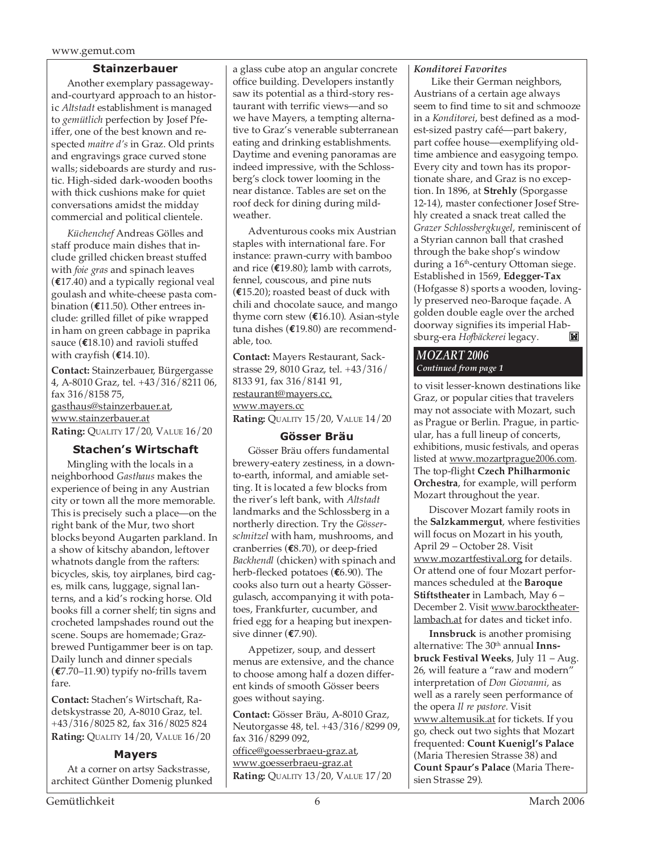### **Stainzerbauer**

Another exemplary passagewayand-courtyard approach to an historic *Altstadt* establishment is managed to *gemütlich* perfection by Josef Pfeiffer, one of the best known and respected *maitre d's* in Graz. Old prints and engravings grace curved stone walls; sideboards are sturdy and rustic. High-sided dark-wooden booths with thick cushions make for quiet conversations amidst the midday commercial and political clientele.

*Küchenchef* Andreas Gölles and staff produce main dishes that include grilled chicken breast stuffed with *foie gras* and spinach leaves (**€**17.40) and a typically regional veal goulash and white-cheese pasta combination (**€**11.50). Other entrees include: grilled fillet of pike wrapped in ham on green cabbage in paprika sauce (**€**18.10) and ravioli stuffed with crayfish (**€**14.10).

**Contact:** Stainzerbauer, Bürgergasse 4, A-8010 Graz, tel. +43/316/8211 06, fax 316/8158 75, gasthaus@stainzerbauer.at, www.stainzerbauer.at **Rating:** QUALITY 17/20, VALUE 16/20

### **Stachen's Wirtschaft**

Mingling with the locals in a neighborhood *Gasthaus* makes the experience of being in any Austrian city or town all the more memorable. This is precisely such a place—on the right bank of the Mur, two short blocks beyond Augarten parkland. In a show of kitschy abandon, leftover whatnots dangle from the rafters: bicycles, skis, toy airplanes, bird cages, milk cans, luggage, signal lanterns, and a kid's rocking horse. Old books fill a corner shelf; tin signs and crocheted lampshades round out the scene. Soups are homemade; Grazbrewed Puntigammer beer is on tap. Daily lunch and dinner specials (**€**7.70–11.90) typify no-frills tavern fare.

**Contact:** Stachen's Wirtschaft, Radetskystrasse 20, A-8010 Graz, tel. +43/316/8025 82, fax 316/8025 824 **Rating:** QUALITY 14/20, VALUE 16/20

### **Mayers**

At a corner on artsy Sackstrasse, architect Günther Domenig plunked a glass cube atop an angular concrete office building. Developers instantly saw its potential as a third-story restaurant with terrific views—and so we have Mayers, a tempting alternative to Graz's venerable subterranean eating and drinking establishments. Daytime and evening panoramas are indeed impressive, with the Schlossberg's clock tower looming in the near distance. Tables are set on the roof deck for dining during mildweather.

Adventurous cooks mix Austrian staples with international fare. For instance: prawn-curry with bamboo and rice (**€**19.80); lamb with carrots, fennel, couscous, and pine nuts (**€**15.20); roasted beast of duck with chili and chocolate sauce, and mango thyme corn stew (**€**16.10). Asian-style tuna dishes (**€**19.80) are recommendable, too.

**Contact:** Mayers Restaurant, Sackstrasse 29, 8010 Graz, tel. +43/316/ 8133 91, fax 316/8141 91, restaurant@mayers.cc, www.mayers.cc **Rating:** QUALITY 15/20, VALUE 14/20

### **Gösser Bräu**

Gösser Bräu offers fundamental brewery-eatery zestiness, in a downto-earth, informal, and amiable setting. It is located a few blocks from the river's left bank, with *Altstadt* landmarks and the Schlossberg in a northerly direction. Try the *Gösserschnitzel* with ham, mushrooms, and cranberries (**€**8.70), or deep-fried *Backhendl* (chicken) with spinach and herb-flecked potatoes (**€**6.90). The cooks also turn out a hearty Gössergulasch, accompanying it with potatoes, Frankfurter, cucumber, and fried egg for a heaping but inexpensive dinner (**€**7.90).

Appetizer, soup, and dessert menus are extensive, and the chance to choose among half a dozen different kinds of smooth Gösser beers goes without saying.

**Contact:** Gösser Bräu, A-8010 Graz, Neutorgasse 48, tel. +43/316/8299 09, fax 316/8299 092, office@goesserbraeu-graz.at, www.goesserbraeu-graz.at **Rating:** QUALITY 13/20, VALUE 17/20

### *Konditorei Favorites*

Like their German neighbors, Austrians of a certain age always seem to find time to sit and schmooze in a *Konditorei*, best defined as a modest-sized pastry café—part bakery, part coffee house—exemplifying oldtime ambience and easygoing tempo. Every city and town has its proportionate share, and Graz is no exception. In 1896, at **Strehly** (Sporgasse 12-14), master confectioner Josef Strehly created a snack treat called the *Grazer Schlossbergkugel*, reminiscent of a Styrian cannon ball that crashed through the bake shop's window during a  $16<sup>th</sup>$ -century Ottoman siege. Established in 1569, **Edegger-Tax** (Hofgasse 8) sports a wooden, lovingly preserved neo-Baroque façade. A golden double eagle over the arched doorway signifies its imperial Habsburg-era *Hofbäckerei* legacy.  $\mathbb{R}$ 

### *MOZART 2006 Continued from page 1*

to visit lesser-known destinations like Graz, or popular cities that travelers may not associate with Mozart, such as Prague or Berlin. Prague, in particular, has a full lineup of concerts, exhibitions, music festivals, and operas listed at www.mozartprague2006.com. The top-flight **Czech Philharmonic Orchestra**, for example, will perform Mozart throughout the year.

Discover Mozart family roots in the **Salzkammergut**, where festivities will focus on Mozart in his youth, April 29 – October 28. Visit www.mozartfestival.org for details. Or attend one of four Mozart performances scheduled at the **Baroque Stiftstheater** in Lambach, May 6 – December 2. Visit www.barocktheaterlambach.at for dates and ticket info.

**Innsbruck** is another promising alternative: The 30<sup>th</sup> annual Inns**bruck Festival Weeks**, July 11 – Aug. 26, will feature a "raw and modern" interpretation of *Don Giovanni,* as well as a rarely seen performance of the opera *Il re pastore.* Visit www.altemusik.at for tickets. If you go, check out two sights that Mozart frequented: **Count Kuenigl's Palace** (Maria Theresien Strasse 38) and **Count Spaur's Palace** (Maria Theresien Strasse 29).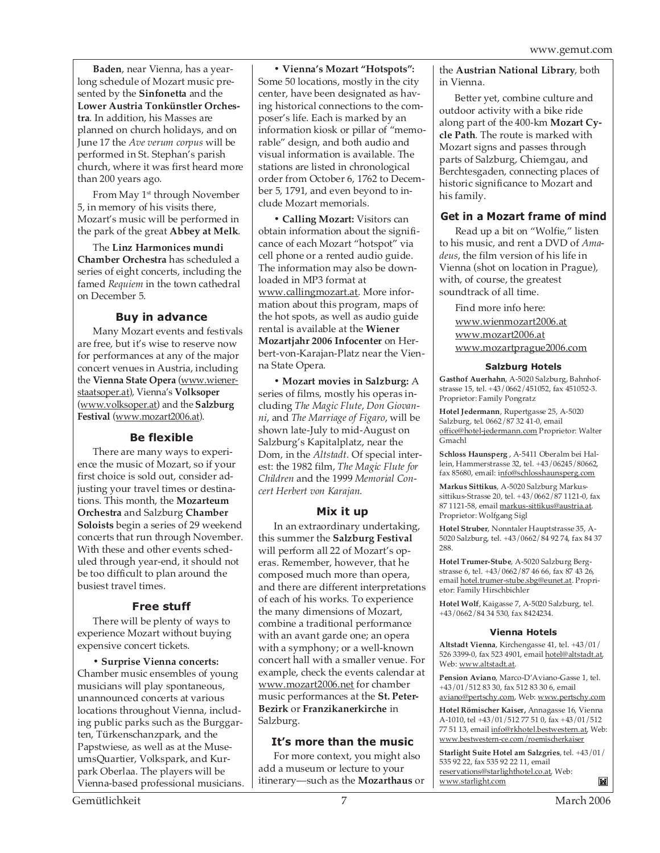**Baden**, near Vienna, has a yearlong schedule of Mozart music presented by the **Sinfonetta** and the **Lower Austria Tonkünstler Orchestra**. In addition, his Masses are planned on church holidays, and on June 17 the *Ave verum corpus* will be performed in St. Stephan's parish church, where it was first heard more than 200 years ago.

From May 1<sup>st</sup> through November 5, in memory of his visits there, Mozart's music will be performed in the park of the great **Abbey at Melk**.

The **Linz Harmonices mundi Chamber Orchestra** has scheduled a series of eight concerts, including the famed *Requiem* in the town cathedral on December 5.

### **Buy in advance**

Many Mozart events and festivals are free, but it's wise to reserve now for performances at any of the major concert venues in Austria, including the **Vienna State Opera** (www.wienerstaatsoper.at), Vienna's **Volksoper** (www.volksoper.at) and the **Salzburg Festival** (www.mozart2006.at).

### **Be flexible**

There are many ways to experience the music of Mozart, so if your first choice is sold out, consider adjusting your travel times or destinations. This month, the **Mozarteum Orchestra** and Salzburg **Chamber Soloists** begin a series of 29 weekend concerts that run through November. With these and other events scheduled through year-end, it should not be too difficult to plan around the busiest travel times.

### **Free stuff**

There will be plenty of ways to experience Mozart without buying expensive concert tickets.

**• Surprise Vienna concerts:** Chamber music ensembles of young musicians will play spontaneous, unannounced concerts at various locations throughout Vienna, including public parks such as the Burggarten, Türkenschanzpark, and the Papstwiese, as well as at the MuseumsQuartier, Volkspark, and Kurpark Oberlaa. The players will be Vienna-based professional musicians.

**• Vienna's Mozart "Hotspots":** Some 50 locations, mostly in the city center, have been designated as having historical connections to the composer's life. Each is marked by an information kiosk or pillar of "memorable" design, and both audio and visual information is available. The stations are listed in chronological order from October 6, 1762 to December 5, 1791, and even beyond to include Mozart memorials.

**• Calling Mozart:** Visitors can obtain information about the significance of each Mozart "hotspot" via cell phone or a rented audio guide. The information may also be downloaded in MP3 format at www.callingmozart.at. More information about this program, maps of the hot spots, as well as audio guide rental is available at the **Wiener Mozartjahr 2006 Infocenter** on Herbert-von-Karajan-Platz near the Vienna State Opera.

**• Mozart movies in Salzburg:** A series of films, mostly his operas including *The Magic Flute*, *Don Giovanni*, and *The Marriage of Figaro*, will be shown late-July to mid-August on Salzburg's Kapitalplatz, near the Dom, in the *Altstadt*. Of special interest: the 1982 film, *The Magic Flute for Children* and the 1999 *Memorial Concert Herbert von Karajan*.

### **Mix it up**

In an extraordinary undertaking, this summer the **Salzburg Festival** will perform all 22 of Mozart's operas. Remember, however, that he composed much more than opera, and there are different interpretations of each of his works. To experience the many dimensions of Mozart, combine a traditional performance with an avant garde one; an opera with a symphony; or a well-known concert hall with a smaller venue. For example, check the events calendar at www.mozart2006.net for chamber music performances at the **St. Peter-Bezirk** or **Franzikanerkirche** in Salzburg.

### **It's more than the music**

For more context, you might also add a museum or lecture to your itinerary—such as the **Mozarthaus** or the **Austrian National Library**, both in Vienna.

Better yet, combine culture and outdoor activity with a bike ride along part of the 400-km **Mozart Cycle Path**. The route is marked with Mozart signs and passes through parts of Salzburg, Chiemgau, and Berchtesgaden, connecting places of historic significance to Mozart and his family.

### **Get in a Mozart frame of mind**

Read up a bit on "Wolfie," listen to his music, and rent a DVD of *Amadeus*, the film version of his life in Vienna (shot on location in Prague), with, of course, the greatest soundtrack of all time.

Find more info here: www.wienmozart2006.at www.mozart2006.at www.mozartprague2006.com

### **Salzburg Hotels**

**Gasthof Auerhahn**, A-5020 Salzburg, Bahnhofstrasse 15, tel. +43/0662/451052, fax 451052-3. Proprietor: Family Pongratz

**Hotel Jedermann**, Rupertgasse 25, A-5020 Salzburg, tel. 0662/87 32 41-0, email office@hotel-jedermann.com Proprietor: Walter Gmachl

**Schloss Haunsperg** , A-5411 Oberalm bei Hallein, Hammerstrasse 32, tel. +43/06245/80662, fax 85680, email: info@schlosshaunsperg.com

**Markus Sittikus**, A-5020 Salzburg Markussittikus-Strasse 20, tel. +43/0662/87 1121-0, fax 87 1121-58, email markus-sittikus@austria.at. Proprietor: Wolfgang Sigl

**Hotel Struber**, Nonntaler Hauptstrasse 35, A-5020 Salzburg, tel. +43/0662/84 92 74, fax 84 37 288.

**Hotel Trumer-Stube**, A-5020 Salzburg Bergstrasse 6, tel. +43/0662/87 46 66, fax 87 43 26, email hotel.trumer-stube.sbg@eunet.at. Proprietor: Family Hirschbichler

**Hotel Wolf**, Kaigasse 7, A-5020 Salzburg, tel. +43/0662/84 34 530, fax 8424234.

### **Vienna Hotels**

**Altstadt Vienna**, Kirchengasse 41, tel. +43/01/ 526 3399-0, fax 523 4901, email hotel@altstadt.at, Web: www.altstadt.at.

**Pension Aviano**, Marco-D'Aviano-Gasse 1, tel. +43/01/512 83 30, fax 512 83 30 6, email aviano@pertschy.com, Web: www.pertschy.com

**Hotel Römischer Kaiser,** Annagasse 16, Vienna A-1010, tel +43/01/512 77 51 0, fax +43/01/512 77 51 13, email info@rkhotel.bestwestern.at, Web: www.bestwestern-ce.com/roemischerkaiser

**Starlight Suite Hotel am Salzgries**, tel. +43/01/ 535 92 22, fax 535 92 22 11, email reservations@starlighthotel.co.at, Web: www.starlight.com M